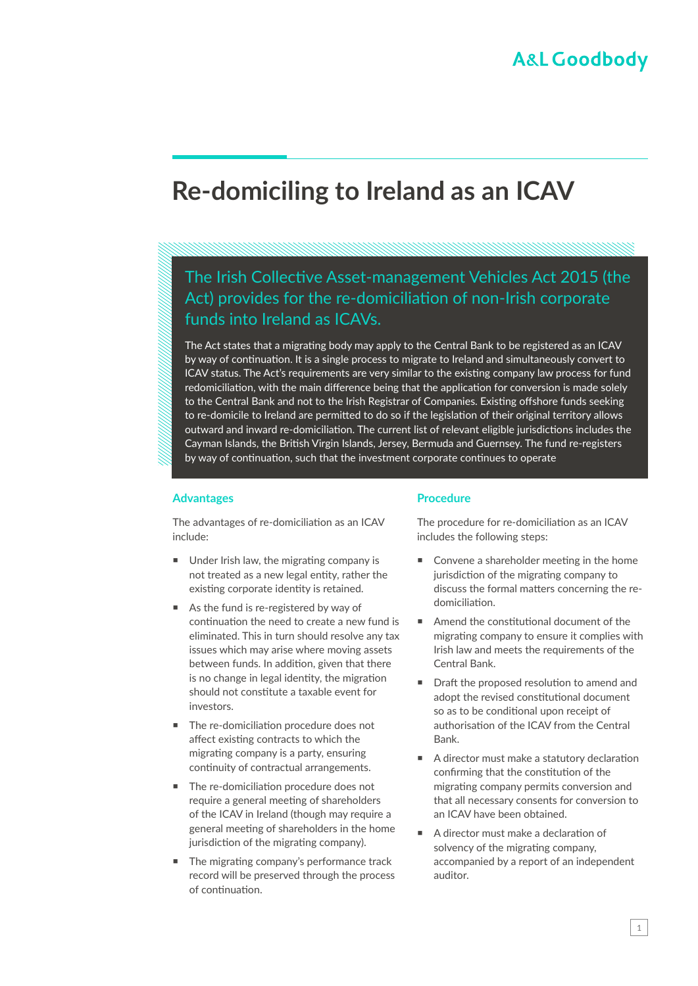# **Re-domiciling to Ireland as an ICAV**

# The Irish Collective Asset-management Vehicles Act 2015 (the Act) provides for the re-domiciliation of non-Irish corporate funds into Ireland as ICAVs.

The Act states that a migrating body may apply to the Central Bank to be registered as an ICAV by way of continuation. It is a single process to migrate to Ireland and simultaneously convert to ICAV status. The Act's requirements are very similar to the existing company law process for fund redomiciliation, with the main difference being that the application for conversion is made solely to the Central Bank and not to the Irish Registrar of Companies. Existing offshore funds seeking to re-domicile to Ireland are permitted to do so if the legislation of their original territory allows outward and inward re-domiciliation. The current list of relevant eligible jurisdictions includes the Cayman Islands, the British Virgin Islands, Jersey, Bermuda and Guernsey. The fund re-registers by way of continuation, such that the investment corporate continues to operate

#### **Advantages**

The advantages of re-domiciliation as an ICAV include:

- Under Irish law, the migrating company is not treated as a new legal entity, rather the existing corporate identity is retained.
- As the fund is re-registered by way of continuation the need to create a new fund is eliminated. This in turn should resolve any tax issues which may arise where moving assets between funds. In addition, given that there is no change in legal identity, the migration should not constitute a taxable event for investors.
- The re-domiciliation procedure does not affect existing contracts to which the migrating company is a party, ensuring continuity of contractual arrangements.
- The re-domiciliation procedure does not require a general meeting of shareholders of the ICAV in Ireland (though may require a general meeting of shareholders in the home jurisdiction of the migrating company).
- **The migrating company's performance track** record will be preserved through the process of continuation.

### **Procedure**

The procedure for re-domiciliation as an ICAV includes the following steps:

- Convene a shareholder meeting in the home jurisdiction of the migrating company to discuss the formal matters concerning the redomiciliation.
- Amend the constitutional document of the migrating company to ensure it complies with Irish law and meets the requirements of the Central Bank.
- Draft the proposed resolution to amend and adopt the revised constitutional document so as to be conditional upon receipt of authorisation of the ICAV from the Central Bank.
- A director must make a statutory declaration confirming that the constitution of the migrating company permits conversion and that all necessary consents for conversion to an ICAV have been obtained.
- A director must make a declaration of solvency of the migrating company, accompanied by a report of an independent auditor.